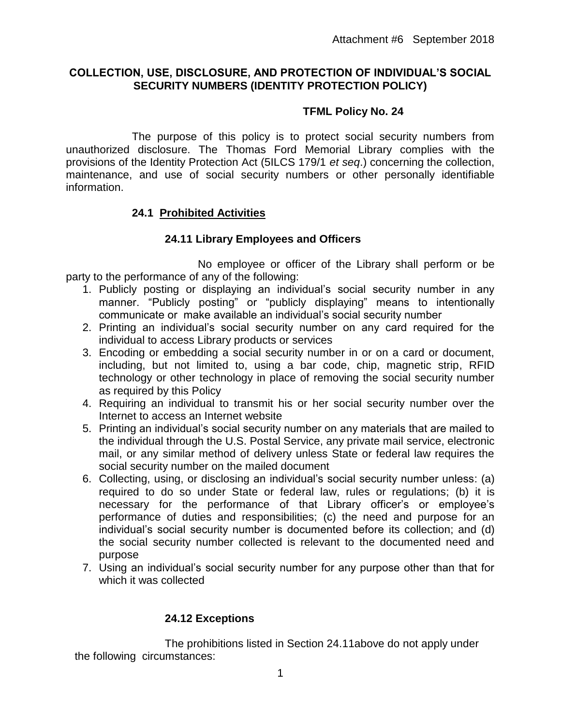# **COLLECTION, USE, DISCLOSURE, AND PROTECTION OF INDIVIDUAL'S SOCIAL SECURITY NUMBERS (IDENTITY PROTECTION POLICY)**

# **TFML Policy No. 24**

The purpose of this policy is to protect social security numbers from unauthorized disclosure. The Thomas Ford Memorial Library complies with the provisions of the Identity Protection Act (5ILCS 179/1 *et seq*.) concerning the collection, maintenance, and use of social security numbers or other personally identifiable information.

## **24.1 Prohibited Activities**

# **24.11 Library Employees and Officers**

No employee or officer of the Library shall perform or be party to the performance of any of the following:

- 1. Publicly posting or displaying an individual's social security number in any manner. "Publicly posting" or "publicly displaying" means to intentionally communicate or make available an individual's social security number
- 2. Printing an individual's social security number on any card required for the individual to access Library products or services
- 3. Encoding or embedding a social security number in or on a card or document, including, but not limited to, using a bar code, chip, magnetic strip, RFID technology or other technology in place of removing the social security number as required by this Policy
- 4. Requiring an individual to transmit his or her social security number over the Internet to access an Internet website
- 5. Printing an individual's social security number on any materials that are mailed to the individual through the U.S. Postal Service, any private mail service, electronic mail, or any similar method of delivery unless State or federal law requires the social security number on the mailed document
- 6. Collecting, using, or disclosing an individual's social security number unless: (a) required to do so under State or federal law, rules or regulations; (b) it is necessary for the performance of that Library officer's or employee's performance of duties and responsibilities; (c) the need and purpose for an individual's social security number is documented before its collection; and (d) the social security number collected is relevant to the documented need and purpose
- 7. Using an individual's social security number for any purpose other than that for which it was collected

# **24.12 Exceptions**

 The prohibitions listed in Section 24.11above do not apply under the following circumstances: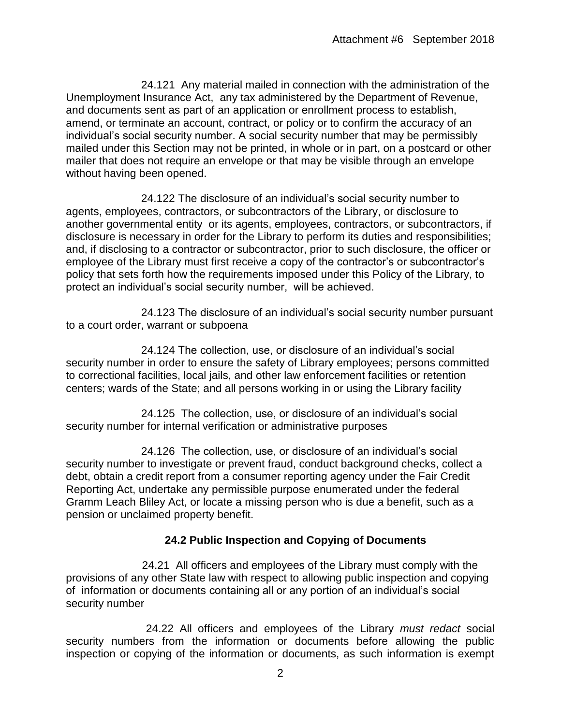24.121 Any material mailed in connection with the administration of the Unemployment Insurance Act, any tax administered by the Department of Revenue, and documents sent as part of an application or enrollment process to establish, amend, or terminate an account, contract, or policy or to confirm the accuracy of an individual's social security number. A social security number that may be permissibly mailed under this Section may not be printed, in whole or in part, on a postcard or other mailer that does not require an envelope or that may be visible through an envelope without having been opened.

 24.122 The disclosure of an individual's social security number to agents, employees, contractors, or subcontractors of the Library, or disclosure to another governmental entity or its agents, employees, contractors, or subcontractors, if disclosure is necessary in order for the Library to perform its duties and responsibilities; and, if disclosing to a contractor or subcontractor, prior to such disclosure, the officer or employee of the Library must first receive a copy of the contractor's or subcontractor's policy that sets forth how the requirements imposed under this Policy of the Library, to protect an individual's social security number, will be achieved.

 24.123 The disclosure of an individual's social security number pursuant to a court order, warrant or subpoena

 24.124 The collection, use, or disclosure of an individual's social security number in order to ensure the safety of Library employees; persons committed to correctional facilities, local jails, and other law enforcement facilities or retention centers; wards of the State; and all persons working in or using the Library facility

 24.125 The collection, use, or disclosure of an individual's social security number for internal verification or administrative purposes

 24.126 The collection, use, or disclosure of an individual's social security number to investigate or prevent fraud, conduct background checks, collect a debt, obtain a credit report from a consumer reporting agency under the Fair Credit Reporting Act, undertake any permissible purpose enumerated under the federal Gramm Leach Bliley Act, or locate a missing person who is due a benefit, such as a pension or unclaimed property benefit.

## **24.2 Public Inspection and Copying of Documents**

 24.21 All officers and employees of the Library must comply with the provisions of any other State law with respect to allowing public inspection and copying of information or documents containing all or any portion of an individual's social security number

 24.22 All officers and employees of the Library *must redact* social security numbers from the information or documents before allowing the public inspection or copying of the information or documents, as such information is exempt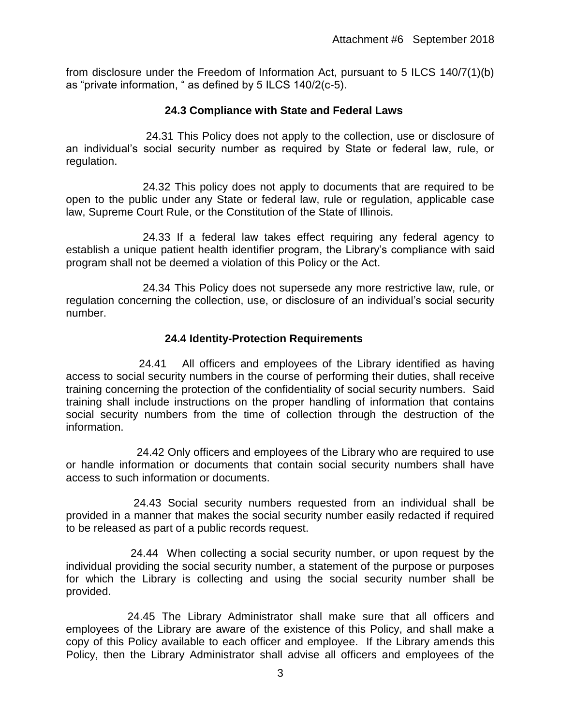from disclosure under the Freedom of Information Act, pursuant to 5 ILCS 140/7(1)(b) as "private information, " as defined by 5 ILCS 140/2(c-5).

## **24.3 Compliance with State and Federal Laws**

 24.31 This Policy does not apply to the collection, use or disclosure of an individual's social security number as required by State or federal law, rule, or regulation.

 24.32 This policy does not apply to documents that are required to be open to the public under any State or federal law, rule or regulation, applicable case law, Supreme Court Rule, or the Constitution of the State of Illinois.

 24.33 If a federal law takes effect requiring any federal agency to establish a unique patient health identifier program, the Library's compliance with said program shall not be deemed a violation of this Policy or the Act.

 24.34 This Policy does not supersede any more restrictive law, rule, or regulation concerning the collection, use, or disclosure of an individual's social security number.

#### **24.4 Identity-Protection Requirements**

 24.41 All officers and employees of the Library identified as having access to social security numbers in the course of performing their duties, shall receive training concerning the protection of the confidentiality of social security numbers. Said training shall include instructions on the proper handling of information that contains social security numbers from the time of collection through the destruction of the information.

 24.42 Only officers and employees of the Library who are required to use or handle information or documents that contain social security numbers shall have access to such information or documents.

 24.43 Social security numbers requested from an individual shall be provided in a manner that makes the social security number easily redacted if required to be released as part of a public records request.

 24.44 When collecting a social security number, or upon request by the individual providing the social security number, a statement of the purpose or purposes for which the Library is collecting and using the social security number shall be provided.

 24.45 The Library Administrator shall make sure that all officers and employees of the Library are aware of the existence of this Policy, and shall make a copy of this Policy available to each officer and employee. If the Library amends this Policy, then the Library Administrator shall advise all officers and employees of the